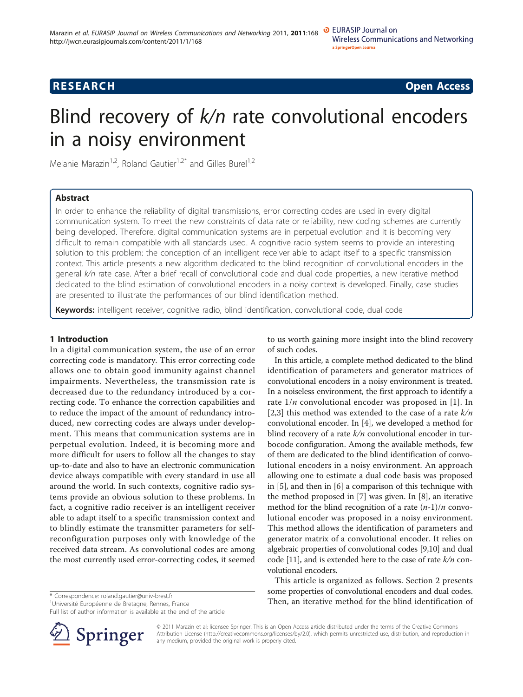**RESEARCH CONSTRUCTION CONSTRUCTS** 

# Blind recovery of  $k/n$  rate convolutional encoders in a noisy environment

Melanie Marazin<sup>1,2</sup>, Roland Gautier<sup>1,2\*</sup> and Gilles Burel<sup>1,2</sup>

# Abstract

In order to enhance the reliability of digital transmissions, error correcting codes are used in every digital communication system. To meet the new constraints of data rate or reliability, new coding schemes are currently being developed. Therefore, digital communication systems are in perpetual evolution and it is becoming very difficult to remain compatible with all standards used. A cognitive radio system seems to provide an interesting solution to this problem: the conception of an intelligent receiver able to adapt itself to a specific transmission context. This article presents a new algorithm dedicated to the blind recognition of convolutional encoders in the general k/n rate case. After a brief recall of convolutional code and dual code properties, a new iterative method dedicated to the blind estimation of convolutional encoders in a noisy context is developed. Finally, case studies are presented to illustrate the performances of our blind identification method.

Keywords: intelligent receiver, cognitive radio, blind identification, convolutional code, dual code

# 1 Introduction

In a digital communication system, the use of an error correcting code is mandatory. This error correcting code allows one to obtain good immunity against channel impairments. Nevertheless, the transmission rate is decreased due to the redundancy introduced by a correcting code. To enhance the correction capabilities and to reduce the impact of the amount of redundancy introduced, new correcting codes are always under development. This means that communication systems are in perpetual evolution. Indeed, it is becoming more and more difficult for users to follow all the changes to stay up-to-date and also to have an electronic communication device always compatible with every standard in use all around the world. In such contexts, cognitive radio systems provide an obvious solution to these problems. In fact, a cognitive radio receiver is an intelligent receiver able to adapt itself to a specific transmission context and to blindly estimate the transmitter parameters for selfreconfiguration purposes only with knowledge of the received data stream. As convolutional codes are among the most currently used error-correcting codes, it seemed

Full list of author information is available at the end of the article



to us worth gaining more insight into the blind recovery of such codes.

In this article, a complete method dedicated to the blind identification of parameters and generator matrices of convolutional encoders in a noisy environment is treated. In a noiseless environment, the first approach to identify a rate  $1/n$  convolutional encoder was proposed in [[1\]](#page-8-0). In [[2,3](#page-8-0)] this method was extended to the case of a rate  $k/n$ convolutional encoder. In [[4\]](#page-8-0), we developed a method for blind recovery of a rate  $k/n$  convolutional encoder in turbocode configuration. Among the available methods, few of them are dedicated to the blind identification of convolutional encoders in a noisy environment. An approach allowing one to estimate a dual code basis was proposed in [\[5](#page-8-0)], and then in [\[6](#page-8-0)] a comparison of this technique with the method proposed in [\[7](#page-8-0)] was given. In [[8\]](#page-8-0), an iterative method for the blind recognition of a rate  $(n-1)/n$  convolutional encoder was proposed in a noisy environment. This method allows the identification of parameters and generator matrix of a convolutional encoder. It relies on algebraic properties of convolutional codes [[9,10](#page-8-0)] and dual code [\[11\]](#page-8-0), and is extended here to the case of rate  $k/n$  convolutional encoders.

This article is organized as follows. Section 2 presents some properties of convolutional encoders and dual codes. \* Correspondence: [roland.gautier@univ-brest.fr](mailto:roland.gautier@univ-brest.fr)<br>
<sup>1</sup>Université Européenne de Bretagne, Rennes, France **Then, an iterative method for the blind identification of** 

> © 2011 Marazin et al; licensee Springer. This is an Open Access article distributed under the terms of the Creative Commons Attribution License [\(http://creativecommons.org/licenses/by/2.0](http://creativecommons.org/licenses/by/2.0)), which permits unrestricted use, distribution, and reproduction in any medium, provided the original work is properly cited.

<sup>&</sup>lt;sup>1</sup>Université Européenne de Bretagne, Rennes, France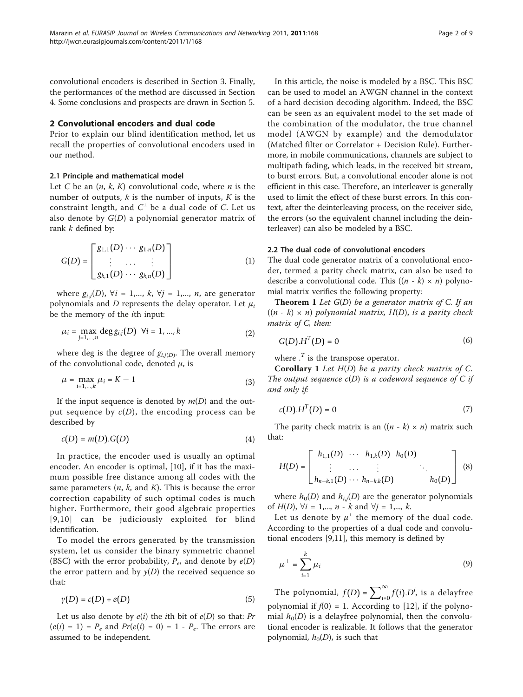convolutional encoders is described in Section 3. Finally, the performances of the method are discussed in Section 4. Some conclusions and prospects are drawn in Section 5.

# 2 Convolutional encoders and dual code

Prior to explain our blind identification method, let us recall the properties of convolutional encoders used in our method.

# 2.1 Principle and mathematical model

Let C be an  $(n, k, K)$  convolutional code, where *n* is the number of outputs,  $k$  is the number of inputs,  $K$  is the constraint length, and  $C^{\perp}$  be a dual code of C. Let us also denote by  $G(D)$  a polynomial generator matrix of rank k defined by:

$$
G(D) = \begin{bmatrix} g_{1,1}(D) & \cdots & g_{1,n}(D) \\ \vdots & \cdots & \vdots \\ g_{k,1}(D) & \cdots & g_{k,n}(D) \end{bmatrix}
$$
 (1)

where  $g_{i,j}(D)$ ,  $\forall i = 1,..., k$ ,  $\forall j = 1,..., n$ , are generator polynomials and D represents the delay operator. Let  $\mu_i$ be the memory of the ith input:

$$
\mu_i = \max_{j=1,...,n} \deg g_{i,j}(D) \ \forall i = 1,...,k
$$
 (2)

where deg is the degree of  $g_{i,j(D)}$ . The overall memory of the convolutional code, denoted  $\mu$ , is

$$
\mu = \max_{i=1,\dots,k} \mu_i = K - 1 \tag{3}
$$

If the input sequence is denoted by  $m(D)$  and the output sequence by  $c(D)$ , the encoding process can be described by

$$
c(D) = m(D).G(D)
$$
 (4)

In practice, the encoder used is usually an optimal encoder. An encoder is optimal, [[10\]](#page-8-0), if it has the maximum possible free distance among all codes with the same parameters  $(n, k, \text{ and } K)$ . This is because the error correction capability of such optimal codes is much higher. Furthermore, their good algebraic properties [[9,10](#page-8-0)] can be judiciously exploited for blind identification.

To model the errors generated by the transmission system, let us consider the binary symmetric channel (BSC) with the error probability,  $P_e$ , and denote by  $e(D)$ the error pattern and by  $y(D)$  the received sequence so that:

$$
\gamma(D) = c(D) + e(D) \tag{5}
$$

Let us also denote by  $e(i)$  the *i*th bit of  $e(D)$  so that: Pr  $(e(i) = 1) = P_e$  and  $Pr(e(i) = 0) = 1 - P_e$ . The errors are assumed to be independent.

In this article, the noise is modeled by a BSC. This BSC can be used to model an AWGN channel in the context of a hard decision decoding algorithm. Indeed, the BSC can be seen as an equivalent model to the set made of the combination of the modulator, the true channel model (AWGN by example) and the demodulator (Matched filter or Correlator + Decision Rule). Furthermore, in mobile communications, channels are subject to multipath fading, which leads, in the received bit stream, to burst errors. But, a convolutional encoder alone is not efficient in this case. Therefore, an interleaver is generally used to limit the effect of these burst errors. In this context, after the deinterleaving process, on the receiver side, the errors (so the equivalent channel including the deinterleaver) can also be modeled by a BSC.

# 2.2 The dual code of convolutional encoders

The dual code generator matrix of a convolutional encoder, termed a parity check matrix, can also be used to describe a convolutional code. This  $((n - k) \times n)$  polynomial matrix verifies the following property:

**Theorem 1** Let  $G(D)$  be a generator matrix of C. If an  $((n - k) \times n)$  polynomial matrix,  $H(D)$ , is a parity check matrix of C, then:

$$
G(D).HT(D) = 0
$$
 (6)

where  $\cdot$ <sup>T</sup> is the transpose operator.

**Corollary 1** Let  $H(D)$  be a parity check matrix of C. The output sequence  $c(D)$  is a codeword sequence of C if and only if:

$$
c(D).H^T(D) = 0 \tag{7}
$$

The parity check matrix is an  $((n - k) \times n)$  matrix such that:

$$
H(D) = \begin{bmatrix} h_{1,1}(D) & \cdots & h_{1,k}(D) & h_0(D) \\ \vdots & \cdots & \vdots & \ddots \\ h_{n-k,1}(D) & \cdots & h_{n-k,k}(D) & h_0(D) \end{bmatrix} \tag{8}
$$

where  $h_0(D)$  and  $h_{i,j}(D)$  are the generator polynomials of  $H(D)$ ,  $\forall i = 1,..., n - k$  and  $\forall j = 1,..., k$ .

Let us denote by  $\mu^{\perp}$  the memory of the dual code. According to the properties of a dual code and convolutional encoders [[9,11](#page-8-0)], this memory is defined by

$$
\mu^{\perp} = \sum_{i=1}^{k} \mu_i \tag{9}
$$

The polynomial,  $f(D) = \sum_{i=0}^{\infty} f(i).D^i$ , is a delayfree polynomial if  $f(0) = 1$ . According to [\[12](#page-8-0)], if the polynomial  $h_0(D)$  is a delayfree polynomial, then the convolutional encoder is realizable. It follows that the generator polynomial,  $h_0(D)$ , is such that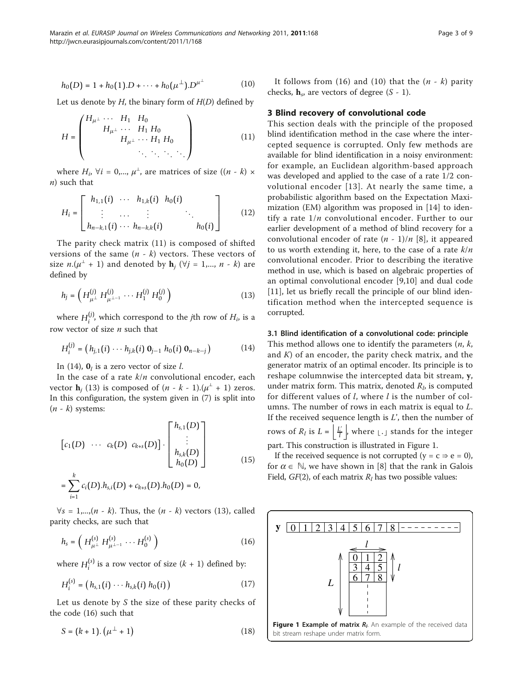$$
h_0(D) = 1 + h_0(1) \cdot D + \dots + h_0(\mu^{\perp}) \cdot D^{\mu^{\perp}}
$$
 (10)

Let us denote by  $H$ , the binary form of  $H(D)$  defined by

$$
H = \begin{pmatrix} H_{\mu^{\perp}} & \cdots & H_1 & H_0 \\ & H_{\mu^{\perp}} & \cdots & H_1 & H_0 \\ & & H_{\mu^{\perp}} & \cdots & H_1 & H_0 \\ & & & \ddots & \ddots & \ddots \end{pmatrix}
$$
 (11)

where  $H_i$ ,  $\forall i = 0,..., \mu^{\perp}$ , are matrices of size  $((n - k) \times$  $n)$  such that

$$
H_{i} = \begin{bmatrix} h_{1,1}(i) & \cdots & h_{1,k}(i) & h_{0}(i) \\ \vdots & \cdots & \vdots & \ddots \\ h_{n-k,1}(i) & \cdots & h_{n-k,k}(i) & h_{0}(i) \end{bmatrix}
$$
 (12)

The parity check matrix (11) is composed of shifted versions of the same  $(n - k)$  vectors. These vectors of size  $n.(\mu^{\perp} + 1)$  and denoted by  $\mathbf{h}_i$  ( $\forall j = 1,..., n - k$ ) are defined by

$$
h_j = \left( H_{\mu^\perp}^{(j)} H_{\mu^{\perp - 1}}^{(j)} \cdots H_1^{(j)} H_0^{(j)} \right) \tag{13}
$$

where  $H_i^{(j)}$ , which correspond to the *j*th row of  $H_i$ , is a row vector of size  $n$  such that

$$
H_i^{(j)} = (h_{j,1}(i) \cdots h_{j,k}(i) \mathbf{0}_{j-1} h_0(i) \mathbf{0}_{n-k-j}) \qquad (14)
$$

In (14),  $\mathbf{0}_l$  is a zero vector of size l.

*i*=1

In the case of a rate  $k/n$  convolutional encoder, each vector  $\mathbf{h}_i$  (13) is composed of  $(n - k - 1) \cdot (\mu^{\perp} + 1)$  zeros. In this configuration, the system given in (7) is split into  $(n - k)$  systems:

$$
[c_1(D) \cdots c_k(D) c_{k+s}(D)] \cdot \begin{bmatrix} h_{s,1}(D) \\ \vdots \\ h_{s,k}(D) \\ h_0(D) \end{bmatrix}
$$
  
=  $\sum_{i=1}^{k} c_i(D) \cdot h_{s,i}(D) + c_{k+s}(D) \cdot h_0(D) = 0,$  (15)

 $\forall s = 1,...,(n - k)$ . Thus, the  $(n - k)$  vectors (13), called parity checks, are such that

$$
h_s = \left(H_{\mu^\perp}^{(s)} H_{\mu^{\perp-1}}^{(s)} \cdots H_0^{(s)}\right) \tag{16}
$$

where  $H_i^{(s)}$  is a row vector of size  $(k + 1)$  defined by:

$$
H_i^{(s)} = (h_{s,1}(i) \cdots h_{s,k}(i) h_0(i))
$$
 (17)

Let us denote by  $S$  the size of these parity checks of the code (16) such that

$$
S = (k+1) \cdot (\mu^{\perp} + 1) \tag{18}
$$

It follows from (16) and (10) that the  $(n - k)$  parity checks,  $h_s$ , are vectors of degree (S - 1).

### 3 Blind recovery of convolutional code

This section deals with the principle of the proposed blind identification method in the case where the intercepted sequence is corrupted. Only few methods are available for blind identification in a noisy environment: for example, an Euclidean algorithm-based approach was developed and applied to the case of a rate 1/2 convolutional encoder [[13](#page-8-0)]. At nearly the same time, a probabilistic algorithm based on the Expectation Maximization (EM) algorithm was proposed in [[14\]](#page-8-0) to identify a rate  $1/n$  convolutional encoder. Further to our earlier development of a method of blind recovery for a convolutional encoder of rate  $(n - 1)/n$  [\[8](#page-8-0)], it appeared to us worth extending it, here, to the case of a rate  $k/n$ convolutional encoder. Prior to describing the iterative method in use, which is based on algebraic properties of an optimal convolutional encoder [[9,10](#page-8-0)] and dual code [[11\]](#page-8-0), let us briefly recall the principle of our blind identification method when the intercepted sequence is corrupted.

#### 3.1 Blind identification of a convolutional code: principle

This method allows one to identify the parameters  $(n, k, k)$ and  $K$ ) of an encoder, the parity check matrix, and the generator matrix of an optimal encoder. Its principle is to reshape columnwise the intercepted data bit stream, y, under matrix form. This matrix, denoted  $R_l$ , is computed for different values of  $l$ , where  $l$  is the number of columns. The number of rows in each matrix is equal to L. If the received sequence length is  $L'$ , then the number of rows of  $R_l$  is  $L = \left| \frac{L'}{l} \right|$ , where  $\lfloor . \rfloor$  stands for the integer

part. This construction is illustrated in Figure 1.

If the received sequence is not corrupted ( $y = c \Rightarrow e = 0$ ), for  $\alpha \in \mathbb{N}$ , we have shown in [[8\]](#page-8-0) that the rank in Galois Field,  $GF(2)$ , of each matrix  $R_l$  has two possible values:

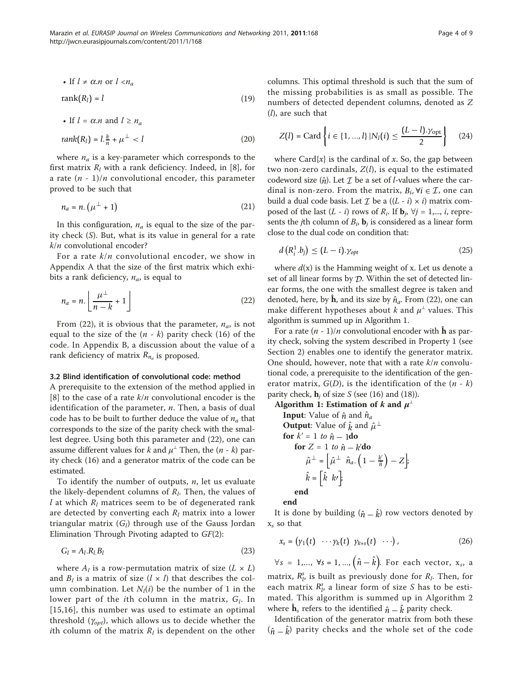• If 
$$
l \neq \alpha.n
$$
 or  $l < n_a$ 

$$
rank(R_l) = l \tag{19}
$$

• If 
$$
l = \alpha.n
$$
 and  $l \ge n_a$   

$$
rank(R_l) = l \cdot \frac{k}{n} + \mu^{\perp} < l \tag{20}
$$

where  $n_a$  is a key-parameter which corresponds to the first matrix  $R_l$  with a rank deficiency. Indeed, in [[8\]](#page-8-0), for a rate  $(n - 1)/n$  convolutional encoder, this parameter proved to be such that

$$
n_a = n. \left(\mu^{\perp} + 1\right) \tag{21}
$$

In this configuration,  $n_a$  is equal to the size of the parity check (S). But, what is its value in general for a rate  $k/n$  convolutional encoder?

For a rate  $k/n$  convolutional encoder, we show in Appendix A that the size of the first matrix which exhibits a rank deficiency,  $n_a$ , is equal to

$$
n_a = n. \left\lfloor \frac{\mu^\perp}{n-k} + 1 \right\rfloor \tag{22}
$$

From (22), it is obvious that the parameter,  $n_a$ , is not equal to the size of the  $(n - k)$  parity check (16) of the code. In Appendix B, a discussion about the value of a rank deficiency of matrix  $R_{n_a}$  is proposed.

# 3.2 Blind identification of convolutional code: method

A prerequisite to the extension of the method applied in [[8\]](#page-8-0) to the case of a rate  $k/n$  convolutional encoder is the identification of the parameter,  $n$ . Then, a basis of dual code has to be built to further deduce the value of  $n_a$  that corresponds to the size of the parity check with the smallest degree. Using both this parameter and (22), one can assume different values for k and  $\mu^{\perp}$  Then, the  $(n - k)$  parity check (16) and a generator matrix of the code can be estimated.

To identify the number of outputs,  $n$ , let us evaluate the likely-dependent columns of  $R_l$ . Then, the values of l at which  $R_l$  matrices seem to be of degenerated rank are detected by converting each  $R_l$  matrix into a lower triangular matrix  $(G_l)$  through use of the Gauss Jordan Elimination Through Pivoting adapted to GF(2):

$$
G_l = A_l.R_lB_l \tag{23}
$$

where  $A_l$  is a row-permutation matrix of size  $(L \times L)$ and  $B_l$  is a matrix of size  $(l \times l)$  that describes the column combination. Let  $N_l(i)$  be the number of 1 in the lower part of the *i*th column in the matrix,  $G_l$ . In [[15](#page-8-0),[16](#page-8-0)], this number was used to estimate an optimal threshold  $(\gamma_{opt})$ , which allows us to decide whether the *i*th column of the matrix  $R_l$  is dependent on the other columns. This optimal threshold is such that the sum of the missing probabilities is as small as possible. The numbers of detected dependent columns, denoted as Z (l), are such that

$$
Z(l) = \text{Card}\left\{i \in \{1, ..., l\} | N_l(i) \le \frac{(L-l) \cdot \gamma_{\text{opt}}}{2}\right\} \tag{24}
$$

where Card $\{x\}$  is the cardinal of x. So, the gap between two non-zero cardinals,  $Z(l)$ , is equal to the estimated codeword size  $(\hat{n})$ . Let  $\mathcal I$  be a set of *l*-values where the cardinal is non-zero. From the matrix,  $B_i$ ,  $\forall i \in \mathcal{I}$ , one can build a dual code basis. Let  $\mathcal I$  be a  $((L - i) \times i)$  matrix composed of the last  $(L - i)$  rows of  $R_i$ . If  $\mathbf{b}_i$ ,  $\forall j = 1,..., i$ , represents the *j*th column of  $B_i$ , **b**<sub>*i*</sub> is considered as a linear form close to the dual code on condition that:

$$
d\left(R_i^1.b_j\right) \le (L-i)\cdot \gamma_{opt} \tag{25}
$$

where  $d(x)$  is the Hamming weight of x. Let us denote a set of all linear forms by *D*. Within the set of detected linear forms, the one with the smallest degree is taken and denoted, here, by  $\hat{\mathbf{h}}$ , and its size by  $\hat{n}_a$ . From (22), one can make different hypotheses about k and  $\mu^{\perp}$  values. This algorithm is summed up in Algorithm 1.

For a rate  $(n - 1)/n$  convolutional encoder with  $\hat{\bf h}$  as parity check, solving the system described in Property 1 (see Section 2) enables one to identify the generator matrix. One should, however, note that with a rate  $k/n$  convolutional code, a prerequisite to the identification of the generator matrix,  $G(D)$ , is the identification of the  $(n - k)$ parity check,  $\mathbf{h}_i$  of size S (see (16) and (18)).

Algorithm 1: Estimation of *k* and 
$$
\mu^{\perp}
$$
  
\nInput: Value of  $\hat{n}$  and  $\hat{n}_a$   
\nOutput: Value of  $\hat{k}$  and  $\hat{\mu}^{\perp}$   
\nfor  $k' = 1$  to  $\hat{n} - 1$ do  
\nfor  $Z = 1$  to  $\hat{n} - k'$ do  
\n
$$
\hat{\mu}^{\perp} = \left[\hat{\mu}^{\perp} \hat{n}_a \cdot \left(1 - \frac{k'}{\hat{n}}\right) - Z\right]
$$
\n
$$
\hat{k} = \left[\hat{k} \ k'\right]
$$
\nend

end

It is done by building  $(\hat{n} - \hat{k})$  row vectors denoted by  $x<sub>s</sub>$  so that

$$
x_s = (\gamma_1(t) \cdots \gamma_k(t) \gamma_{k+s}(t) \cdots), \qquad (26)
$$

 $\forall s = 1,..., \forall s = 1,..., (\hat{n} - \hat{k})$ . For each vector,  $x_s$ , a matrix,  $R_p^s$  is built as previously done for  $R_l$ . Then, for each matrix  $R_p^s$ , a linear form of size S has to be estimated. This algorithm is summed up in Algorithm 2 where  $\hat{\mathbf{h}}_s$  refers to the identified  $\hat{\mathbf{n}} = \hat{\mathbf{k}}$  parity check.

Identification of the generator matrix from both these  $(\hat{n} - \hat{k})$  parity checks and the whole set of the code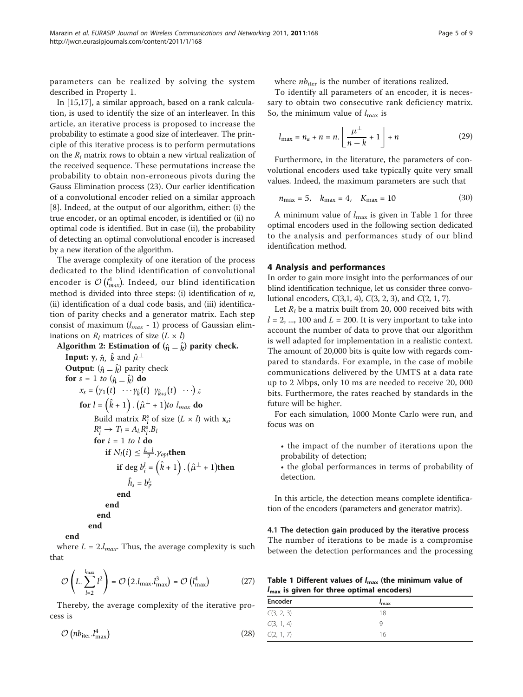parameters can be realized by solving the system described in Property 1.

In [\[15](#page-8-0),[17](#page-8-0)], a similar approach, based on a rank calculation, is used to identify the size of an interleaver. In this article, an iterative process is proposed to increase the probability to estimate a good size of interleaver. The principle of this iterative process is to perform permutations on the  $R_l$  matrix rows to obtain a new virtual realization of the received sequence. These permutations increase the probability to obtain non-erroneous pivots during the Gauss Elimination process (23). Our earlier identification of a convolutional encoder relied on a similar approach [[8\]](#page-8-0). Indeed, at the output of our algorithm, either: (i) the true encoder, or an optimal encoder, is identified or (ii) no optimal code is identified. But in case (ii), the probability of detecting an optimal convolutional encoder is increased by a new iteration of the algorithm.

The average complexity of one iteration of the process dedicated to the blind identification of convolutional encoder is  $\mathcal{O}\left(I_{max}^4\right)$ . Indeed, our blind identification method is divided into three steps: (i) identification of  $n$ , (ii) identification of a dual code basis, and (iii) identification of parity checks and a generator matrix. Each step consist of maximum  $(l_{max} - 1)$  process of Gaussian eliminations on  $R_l$  matrices of size  $(L \times l)$ 

Algorithm 2: Estimation of (*n*<sup>ˆ</sup> <sup>−</sup> <sup>ˆ</sup> *k*) parity check. Input: y, *<sup>n</sup>*ˆ, <sup>ˆ</sup> *k* and μˆ <sup>⊥</sup> Output: (*n*<sup>ˆ</sup> <sup>−</sup> <sup>ˆ</sup> *k*) parity check for <sup>s</sup> = 1 to (*n*<sup>ˆ</sup> <sup>−</sup> <sup>ˆ</sup> *k*) do *xs* = *y*1(*t*) ··· *y*<sup>ˆ</sup> *<sup>k</sup>*(*t*) *y*<sup>ˆ</sup> *k*+*s* (*t*) ··· ,; for *l* = ˆ *k* + 1 . μˆ <sup>⊥</sup> + 1 to lmax do Build matrix *Rs <sup>l</sup>* of size (L × l) with xs; *Rs <sup>l</sup>* <sup>→</sup> *Tl* <sup>=</sup> *Al*.*Rs l* .*Bl* for i = 1 to l do if *Nl*(*i*) <sup>≤</sup> *<sup>L</sup>*−*<sup>l</sup>* <sup>2</sup> .γ*opt*then if deg *bl i* = ˆ *k* + 1 . μˆ <sup>⊥</sup> + 1 then *h*ˆ*<sup>s</sup>* = *bl i* ; end end end end end

where  $L = 2.l_{max}$ . Thus, the average complexity is such that

$$
\mathcal{O}\left(L, \sum_{l=2}^{l_{\text{max}}} l^2\right) = \mathcal{O}\left(2. l_{\text{max}}. l_{\text{max}}^3\right) = \mathcal{O}\left(l_{\text{max}}^4\right) \tag{27}
$$

Thereby, the average complexity of the iterative process is

$$
\mathcal{O}\left(n b_{\text{iter}} \cdot l_{\text{max}}^4\right) \tag{28}
$$

where  $nb_{\text{iter}}$  is the number of iterations realized.

To identify all parameters of an encoder, it is necessary to obtain two consecutive rank deficiency matrix. So, the minimum value of  $l_{\text{max}}$  is

$$
l_{\max} = n_a + n = n. \left\lfloor \frac{\mu^\perp}{n - k} + 1 \right\rfloor + n \tag{29}
$$

Furthermore, in the literature, the parameters of convolutional encoders used take typically quite very small values. Indeed, the maximum parameters are such that

$$
n_{\text{max}} = 5, \quad k_{\text{max}} = 4, \quad K_{\text{max}} = 10 \tag{30}
$$

A minimum value of  $l_{\text{max}}$  is given in Table 1 for three optimal encoders used in the following section dedicated to the analysis and performances study of our blind identification method.

# 4 Analysis and performances

In order to gain more insight into the performances of our blind identification technique, let us consider three convolutional encoders, C(3,1, 4), C(3, 2, 3), and C(2, 1, 7).

Let  $R_l$  be a matrix built from 20, 000 received bits with  $l = 2, ..., 100$  and  $L = 200$ . It is very important to take into account the number of data to prove that our algorithm is well adapted for implementation in a realistic context. The amount of 20,000 bits is quite low with regards compared to standards. For example, in the case of mobile communications delivered by the UMTS at a data rate up to 2 Mbps, only 10 ms are needed to receive 20, 000 bits. Furthermore, the rates reached by standards in the future will be higher.

For each simulation, 1000 Monte Carlo were run, and focus was on

- the impact of the number of iterations upon the probability of detection;
- the global performances in terms of probability of detection.

In this article, the detection means complete identification of the encoders (parameters and generator matrix).

4.1 The detection gain produced by the iterative process The number of iterations to be made is a compromise between the detection performances and the processing

Table 1 Different values of  $I_{\text{max}}$  (the minimum value of  $l_{\text{max}}$  is given for three optimal encoders)

| Encoder    | $I_{\rm max}$ |  |
|------------|---------------|--|
| C(3, 2, 3) | 18            |  |
| C(3, 1, 4) |               |  |
| C(2, 1, 7) | 16            |  |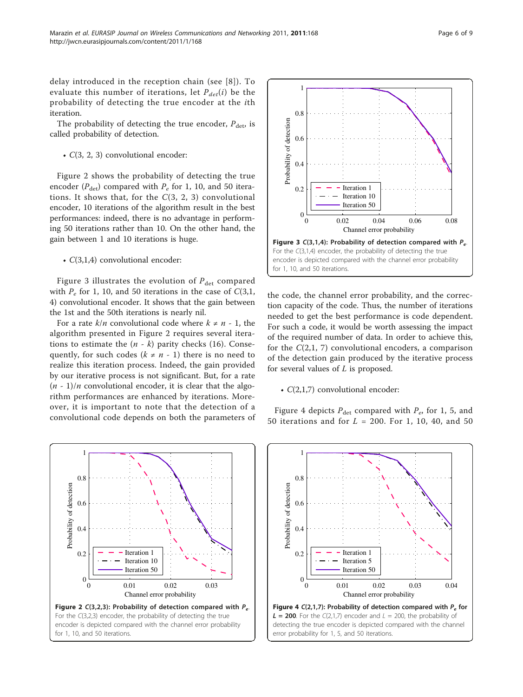delay introduced in the reception chain (see [[8](#page-8-0)]). To evaluate this number of iterations, let  $P_{det}(i)$  be the probability of detecting the true encoder at the ith iteration.

The probability of detecting the true encoder,  $P_{\text{det}}$  is called probability of detection.

• C(3, 2, 3) convolutional encoder:

Figure 2 shows the probability of detecting the true encoder ( $P_{\text{det}}$ ) compared with  $P_e$  for 1, 10, and 50 iterations. It shows that, for the  $C(3, 2, 3)$  convolutional encoder, 10 iterations of the algorithm result in the best performances: indeed, there is no advantage in performing 50 iterations rather than 10. On the other hand, the gain between 1 and 10 iterations is huge.

• C(3,1,4) convolutional encoder:

Figure 3 illustrates the evolution of  $P_{\text{det}}$  compared with  $P_e$  for 1, 10, and 50 iterations in the case of  $C(3,1,$ 4) convolutional encoder. It shows that the gain between the 1st and the 50th iterations is nearly nil.

For a rate  $k/n$  convolutional code where  $k \neq n - 1$ , the algorithm presented in Figure 2 requires several iterations to estimate the  $(n - k)$  parity checks (16). Consequently, for such codes ( $k \neq n - 1$ ) there is no need to realize this iteration process. Indeed, the gain provided by our iterative process is not significant. But, for a rate  $(n - 1)/n$  convolutional encoder, it is clear that the algorithm performances are enhanced by iterations. Moreover, it is important to note that the detection of a convolutional code depends on both the parameters of





the code, the channel error probability, and the correction capacity of the code. Thus, the number of iterations needed to get the best performance is code dependent. For such a code, it would be worth assessing the impact of the required number of data. In order to achieve this, for the  $C(2,1, 7)$  convolutional encoders, a comparison of the detection gain produced by the iterative process for several values of  $L$  is proposed.

#### •  $C(2,1,7)$  convolutional encoder:

Figure 4 depicts  $P_{\text{det}}$  compared with  $P_{e}$ , for 1, 5, and 50 iterations and for  $L = 200$ . For 1, 10, 40, and 50

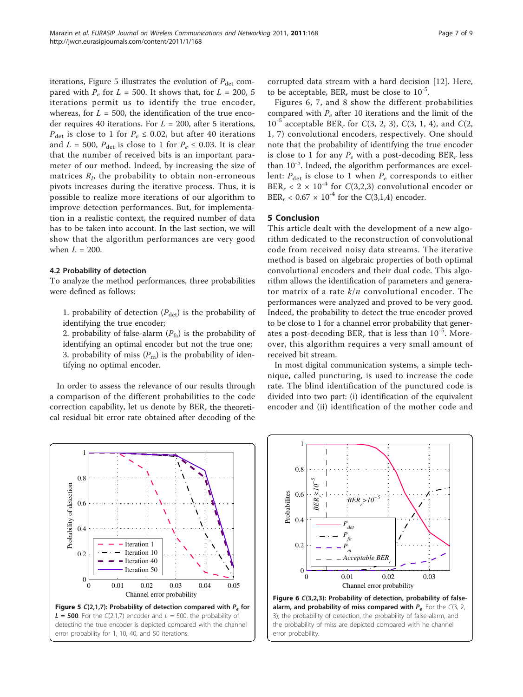iterations, Figure 5 illustrates the evolution of  $P_{\text{det}}$  compared with  $P_e$  for  $L = 500$ . It shows that, for  $L = 200, 5$ iterations permit us to identify the true encoder, whereas, for  $L = 500$ , the identification of the true encoder requires 40 iterations. For  $L = 200$ , after 5 iterations,  $P_{\text{det}}$  is close to 1 for  $P_e \le 0.02$ , but after 40 iterations and  $L = 500$ ,  $P_{\text{det}}$  is close to 1 for  $P_e \le 0.03$ . It is clear that the number of received bits is an important parameter of our method. Indeed, by increasing the size of matrices  $R_l$ , the probability to obtain non-erroneous pivots increases during the iterative process. Thus, it is possible to realize more iterations of our algorithm to improve detection performances. But, for implementation in a realistic context, the required number of data has to be taken into account. In the last section, we will show that the algorithm performances are very good when  $L = 200$ .

# 4.2 Probability of detection

To analyze the method performances, three probabilities were defined as follows:

1. probability of detection  $(P_{\text{det}})$  is the probability of identifying the true encoder;

2. probability of false-alarm  $(P_{fa})$  is the probability of identifying an optimal encoder but not the true one; 3. probability of miss  $(P_m)$  is the probability of identifying no optimal encoder.

In order to assess the relevance of our results through a comparison of the different probabilities to the code correction capability, let us denote by  $BER_r$  the theoretical residual bit error rate obtained after decoding of the corrupted data stream with a hard decision [[12\]](#page-8-0). Here, to be acceptable, BER<sub>r</sub> must be close to  $10^{-5}$ .

Figures 6, [7,](#page-7-0) and [8](#page-7-0) show the different probabilities compared with  $P_e$  after 10 iterations and the limit of the  $10^{-5}$  acceptable BER, for C(3, 2, 3), C(3, 1, 4), and C(2, 1, 7) convolutional encoders, respectively. One should note that the probability of identifying the true encoder is close to 1 for any  $P_e$  with a post-decoding BER<sub>r</sub> less than  $10^{-5}$ . Indeed, the algorithm performances are excellent:  $P_{\text{det}}$  is close to 1 when  $P_e$  corresponds to either BER<sub>r</sub> < 2 × 10<sup>-4</sup> for C(3,2,3) convolutional encoder or BER<sub>r</sub> <  $0.67 \times 10^{-4}$  for the C(3,1,4) encoder.

# 5 Conclusion

This article dealt with the development of a new algorithm dedicated to the reconstruction of convolutional code from received noisy data streams. The iterative method is based on algebraic properties of both optimal convolutional encoders and their dual code. This algorithm allows the identification of parameters and generator matrix of a rate  $k/n$  convolutional encoder. The performances were analyzed and proved to be very good. Indeed, the probability to detect the true encoder proved to be close to 1 for a channel error probability that generates a post-decoding BER, that is less than  $10^{-5}$ . Moreover, this algorithm requires a very small amount of received bit stream.

In most digital communication systems, a simple technique, called puncturing, is used to increase the code rate. The blind identification of the punctured code is divided into two part: (i) identification of the equivalent encoder and (ii) identification of the mother code and





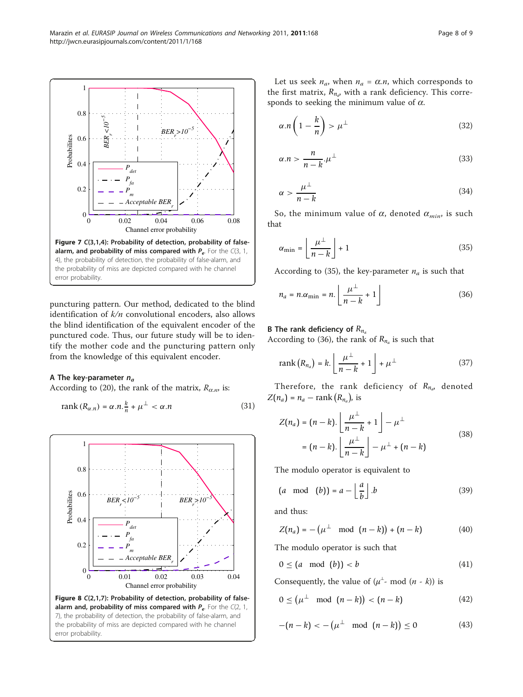<span id="page-7-0"></span>

puncturing pattern. Our method, dedicated to the blind identification of  $k/n$  convolutional encoders, also allows the blind identification of the equivalent encoder of the punctured code. Thus, our future study will be to identify the mother code and the puncturing pattern only from the knowledge of this equivalent encoder.

#### A The key-parameter  $n_a$

According to (20), the rank of the matrix,  $R_{\alpha,n}$ , is:

$$
rank(R_{\alpha,n}) = \alpha.n.\frac{k}{n} + \mu^{\perp} < \alpha.n
$$
\n(31)



Let us seek  $n_a$ , when  $n_a = \alpha.n$ , which corresponds to the first matrix,  $R_{n_a}$ , with a rank deficiency. This corresponds to seeking the minimum value of  $\alpha$ .

$$
\alpha.n\left(1-\frac{k}{n}\right)>\mu^{\perp} \tag{32}
$$

$$
\alpha.n > \frac{n}{n-k}.\mu^{\perp} \tag{33}
$$

$$
\alpha > \frac{\mu^{\perp}}{n-k} \tag{34}
$$

So, the minimum value of  $\alpha$ , denoted  $\alpha_{min}$ , is such that

$$
\alpha_{\min} = \left\lfloor \frac{\mu^{\perp}}{n-k} \right\rfloor + 1 \tag{35}
$$

According to (35), the key-parameter  $n_a$  is such that

$$
n_a = n.\alpha_{\min} = n. \left\lfloor \frac{\mu^\perp}{n-k} + 1 \right\rfloor \tag{36}
$$

#### B The rank deficiency of  $R_{n_a}$

According to (36), the rank of  $R_{n_a}$  is such that

$$
rank (R_{n_a}) = k. \left[ \frac{\mu^{\perp}}{n-k} + 1 \right] + \mu^{\perp}
$$
 (37)

Therefore, the rank deficiency of  $R_{n_a}$ , denoted  $Z(n_a) = n_a - \text{rank}(R_{n_a})$ , is

$$
Z(n_a) = (n-k). \left\lfloor \frac{\mu^{\perp}}{n-k} + 1 \right\rfloor - \mu^{\perp}
$$
  
=  $(n-k). \left\lfloor \frac{\mu^{\perp}}{n-k} \right\rfloor - \mu^{\perp} + (n-k)$  (38)

The modulo operator is equivalent to

$$
(a \mod (b)) = a - \left\lfloor \frac{a}{b} \right\rfloor.b \tag{39}
$$

and thus:

$$
Z(n_a) = -(\mu^{\perp} \mod (n-k)) + (n-k) \tag{40}
$$

The modulo operator is such that

$$
0 \leq (a \mod (b)) < b \tag{41}
$$

Consequently, the value of  $(\mu^{\perp}$ - mod  $(n - k))$  is

$$
0 \leq \left(\mu^{\perp} \mod (n-k)\right) < \left(n-k\right) \tag{42}
$$

$$
-(n-k) < -(\mu^{\perp} \mod (n-k)) \le 0 \tag{43}
$$